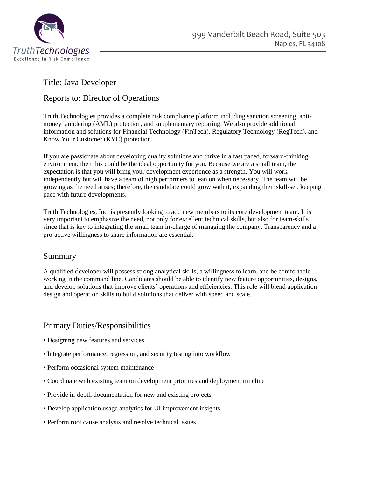

# Title: Java Developer

### Reports to: Director of Operations

Truth Technologies provides a complete risk compliance platform including sanction screening, antimoney laundering (AML) protection, and supplementary reporting. We also provide additional information and solutions for Financial Technology (FinTech), Regulatory Technology (RegTech), and Know Your Customer (KYC) protection.

If you are passionate about developing quality solutions and thrive in a fast paced, forward-thinking environment, then this could be the ideal opportunity for you. Because we are a small team, the expectation is that you will bring your development experience as a strength. You will work independently but will have a team of high performers to lean on when necessary. The team will be growing as the need arises; therefore, the candidate could grow with it, expanding their skill-set, keeping pace with future developments.

Truth Technologies, Inc. is presently looking to add new members to its core development team. It is very important to emphasize the need, not only for excellent technical skills, but also for team-skills since that is key to integrating the small team in-charge of managing the company. Transparency and a pro-active willingness to share information are essential.

#### Summary

A qualified developer will possess strong analytical skills, a willingness to learn, and be comfortable working in the command line. Candidates should be able to identify new feature opportunities, designs, and develop solutions that improve clients' operations and efficiencies. This role will blend application design and operation skills to build solutions that deliver with speed and scale.

### Primary Duties/Responsibilities

- Designing new features and services
- Integrate performance, regression, and security testing into workflow
- Perform occasional system maintenance
- Coordinate with existing team on development priorities and deployment timeline
- Provide in-depth documentation for new and existing projects
- Develop application usage analytics for UI improvement insights
- Perform root cause analysis and resolve technical issues